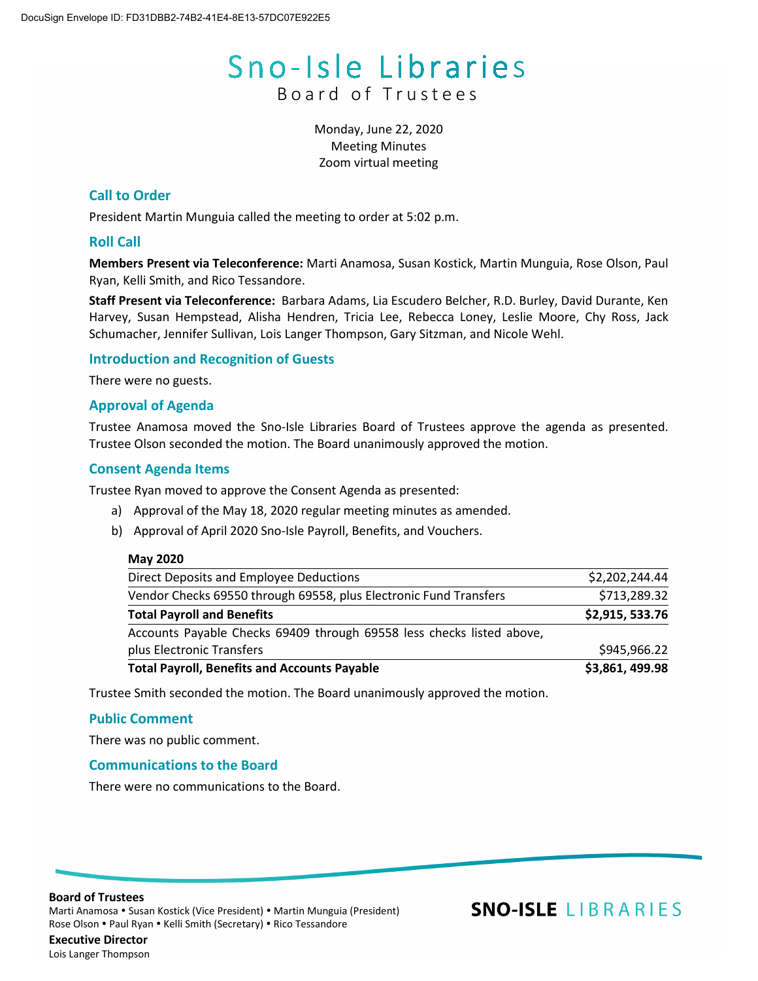# Sno-Isle Libraries Board of Trustees

Monday, June 22, 2020 Meeting Minutes Zoom virtual meeting

# **Call to Order**

President Martin Munguia called the meeting to order at 5:02 p.m.

# **Roll Call**

**Members Present via Teleconference:** Marti Anamosa, Susan Kostick, Martin Munguia, Rose Olson, Paul Ryan, Kelli Smith, and Rico Tessandore.

**Staff Present via Teleconference:** Barbara Adams, Lia Escudero Belcher, R.D. Burley, David Durante, Ken Harvey, Susan Hempstead, Alisha Hendren, Tricia Lee, Rebecca Loney, Leslie Moore, Chy Ross, Jack Schumacher, Jennifer Sullivan, Lois Langer Thompson, Gary Sitzman, and Nicole Wehl.

# **Introduction and Recognition of Guests**

There were no guests.

# **Approval of Agenda**

Trustee Anamosa moved the Sno-Isle Libraries Board of Trustees approve the agenda as presented. Trustee Olson seconded the motion. The Board unanimously approved the motion.

# **Consent Agenda Items**

Trustee Ryan moved to approve the Consent Agenda as presented:

- a) Approval of the May 18, 2020 regular meeting minutes as amended.
- b) Approval of April 2020 Sno-Isle Payroll, Benefits, and Vouchers.

#### **May 2020**

| <b>Total Payroll, Benefits and Accounts Payable</b>                   | \$3,861,499.98 |
|-----------------------------------------------------------------------|----------------|
| plus Electronic Transfers                                             | \$945,966.22   |
| Accounts Payable Checks 69409 through 69558 less checks listed above, |                |
| <b>Total Payroll and Benefits</b>                                     | \$2,915,533.76 |
| Vendor Checks 69550 through 69558, plus Electronic Fund Transfers     | \$713,289.32   |
| Direct Deposits and Employee Deductions                               | \$2,202,244.44 |

Trustee Smith seconded the motion. The Board unanimously approved the motion.

#### **Public Comment**

There was no public comment.

# **Communications to the Board**

There were no communications to the Board.

**Board of Trustees**

Marti Anamosa • Susan Kostick (Vice President) • Martin Munguia (President) Rose Olson • Paul Ryan • Kelli Smith (Secretary) • Rico Tessandore

# **SNO-ISLE LIBRARIES**

**Executive Director** Lois Langer Thompson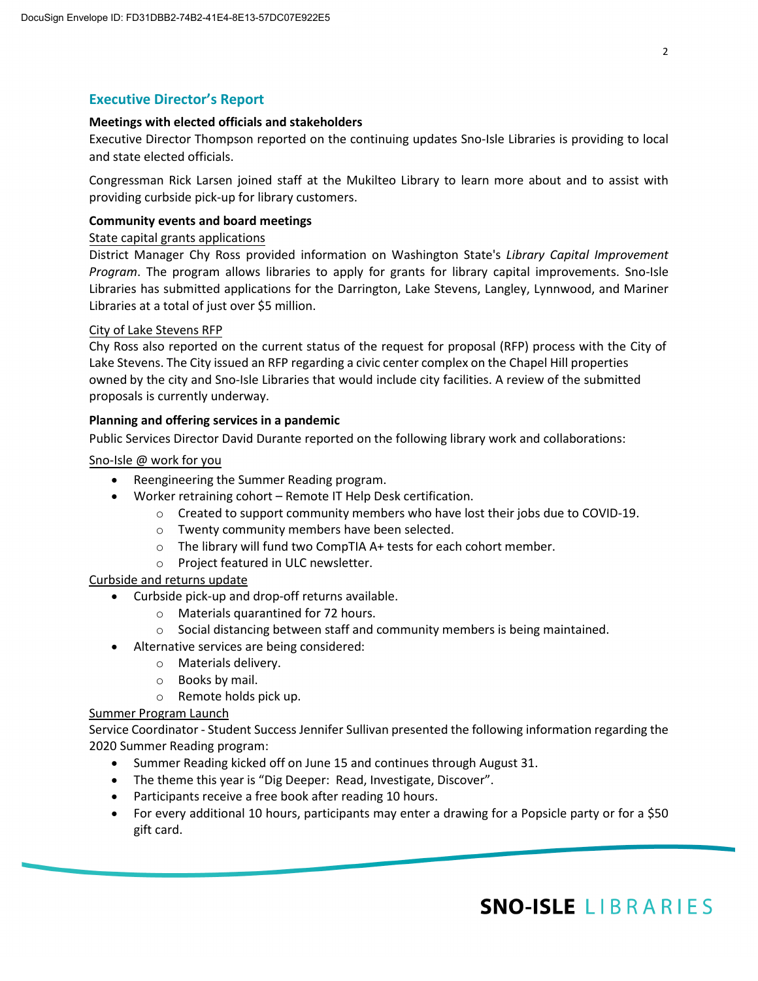# **Executive Director's Report**

#### **Meetings with elected officials and stakeholders**

Executive Director Thompson reported on the continuing updates Sno-Isle Libraries is providing to local and state elected officials.

Congressman Rick Larsen joined staff at the Mukilteo Library to learn more about and to assist with providing curbside pick-up for library customers.

# **Community events and board meetings**

# State capital grants applications

District Manager Chy Ross provided information on Washington State's *Library Capital Improvement Program*. The program allows libraries to apply for grants for library capital improvements. Sno-Isle Libraries has submitted applications for the Darrington, Lake Stevens, Langley, Lynnwood, and Mariner Libraries at a total of just over \$5 million.

# City of Lake Stevens RFP

Chy Ross also reported on the current status of the request for proposal (RFP) process with the City of Lake Stevens. The City issued an RFP regarding a civic center complex on the Chapel Hill properties owned by the city and Sno-Isle Libraries that would include city facilities. A review of the submitted proposals is currently underway.

# **Planning and offering services in a pandemic**

Public Services Director David Durante reported on the following library work and collaborations:

# Sno-Isle @ work for you

- Reengineering the Summer Reading program.
- Worker retraining cohort Remote IT Help Desk certification.
	- $\circ$  Created to support community members who have lost their jobs due to COVID-19.
	- o Twenty community members have been selected.
	- o The library will fund two CompTIA A+ tests for each cohort member.
	- o Project featured in ULC newsletter.

# Curbside and returns update

- Curbside pick-up and drop-off returns available.
	- o Materials quarantined for 72 hours.
	- $\circ$  Social distancing between staff and community members is being maintained.
- Alternative services are being considered:
	- o Materials delivery.
	- o Books by mail.
	- o Remote holds pick up.

#### Summer Program Launch

Service Coordinator - Student Success Jennifer Sullivan presented the following information regarding the 2020 Summer Reading program:

- Summer Reading kicked off on June 15 and continues through August 31.
- The theme this year is "Dig Deeper: Read, Investigate, Discover".
- Participants receive a free book after reading 10 hours.
- For every additional 10 hours, participants may enter a drawing for a Popsicle party or for a \$50 gift card.

# SNO-ISLE LIBRARIES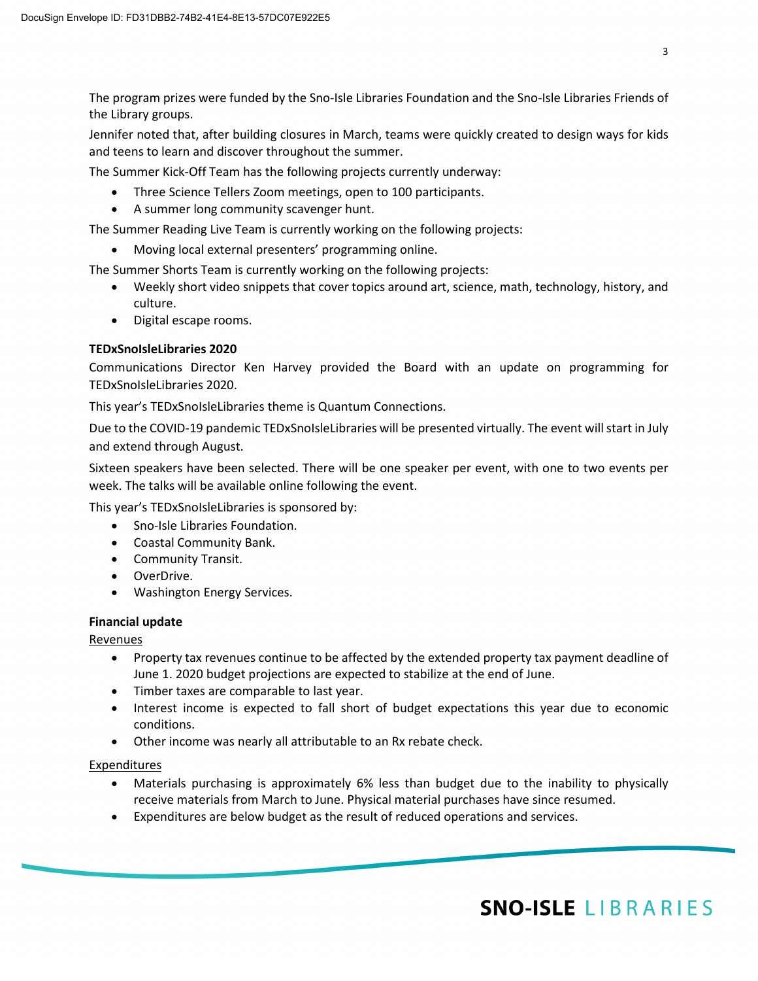The program prizes were funded by the Sno-Isle Libraries Foundation and the Sno-Isle Libraries Friends of the Library groups.

Jennifer noted that, after building closures in March, teams were quickly created to design ways for kids and teens to learn and discover throughout the summer.

The Summer Kick-Off Team has the following projects currently underway:

- Three Science Tellers Zoom meetings, open to 100 participants.
- A summer long community scavenger hunt.

The Summer Reading Live Team is currently working on the following projects:

• Moving local external presenters' programming online.

The Summer Shorts Team is currently working on the following projects:

- Weekly short video snippets that cover topics around art, science, math, technology, history, and culture.
- Digital escape rooms.

# **TEDxSnoIsleLibraries 2020**

Communications Director Ken Harvey provided the Board with an update on programming for TEDxSnoIsleLibraries 2020.

This year's TEDxSnoIsleLibraries theme is Quantum Connections.

Due to the COVID-19 pandemic TEDxSnoIsleLibraries will be presented virtually. The event will start in July and extend through August.

Sixteen speakers have been selected. There will be one speaker per event, with one to two events per week. The talks will be available online following the event.

This year's TEDxSnoIsleLibraries is sponsored by:

- Sno-Isle Libraries Foundation.
- Coastal Community Bank.
- Community Transit.
- OverDrive.
- Washington Energy Services.

#### **Financial update**

Revenues

- Property tax revenues continue to be affected by the extended property tax payment deadline of June 1. 2020 budget projections are expected to stabilize at the end of June.
- Timber taxes are comparable to last year.
- Interest income is expected to fall short of budget expectations this year due to economic conditions.
- Other income was nearly all attributable to an Rx rebate check.

#### Expenditures

- Materials purchasing is approximately 6% less than budget due to the inability to physically receive materials from March to June. Physical material purchases have since resumed.
- Expenditures are below budget as the result of reduced operations and services.

3

# **SNO-ISLE LIBRARIES**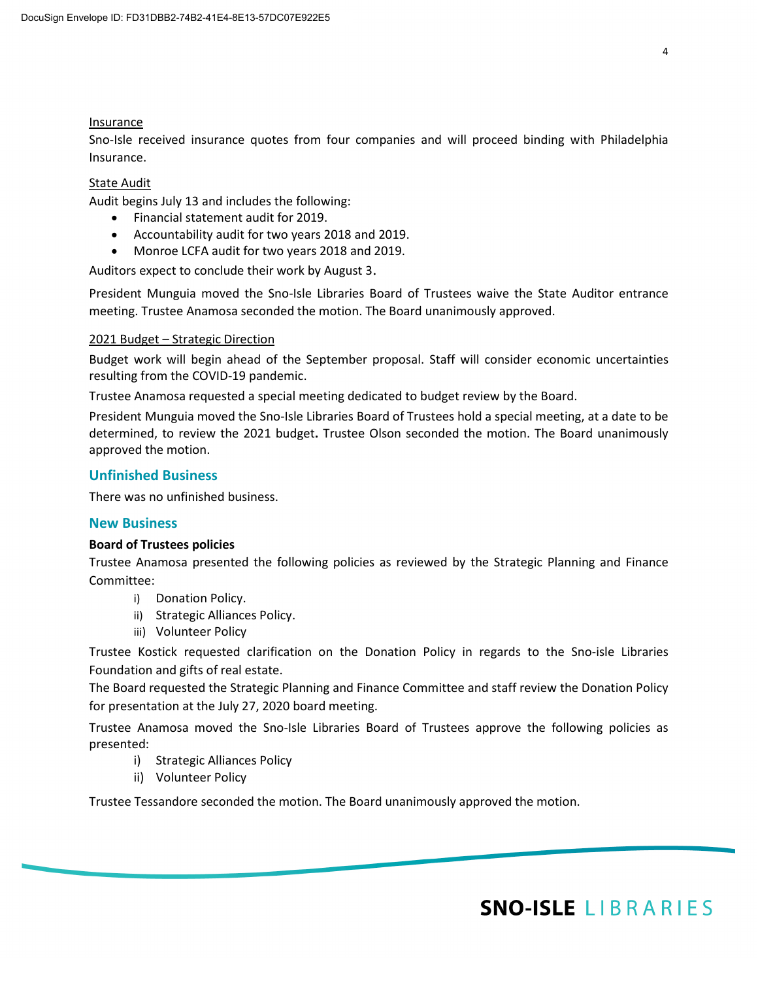# **Insurance**

Sno-Isle received insurance quotes from four companies and will proceed binding with Philadelphia Insurance.

# State Audit

Audit begins July 13 and includes the following:

- Financial statement audit for 2019.
- Accountability audit for two years 2018 and 2019.
- Monroe LCFA audit for two years 2018 and 2019.

Auditors expect to conclude their work by August 3.

President Munguia moved the Sno-Isle Libraries Board of Trustees waive the State Auditor entrance meeting. Trustee Anamosa seconded the motion. The Board unanimously approved.

# 2021 Budget – Strategic Direction

Budget work will begin ahead of the September proposal. Staff will consider economic uncertainties resulting from the COVID-19 pandemic.

Trustee Anamosa requested a special meeting dedicated to budget review by the Board.

President Munguia moved the Sno-Isle Libraries Board of Trustees hold a special meeting, at a date to be determined, to review the 2021 budget**.** Trustee Olson seconded the motion. The Board unanimously approved the motion.

# **Unfinished Business**

There was no unfinished business.

# **New Business**

#### **Board of Trustees policies**

Trustee Anamosa presented the following policies as reviewed by the Strategic Planning and Finance Committee:

- i) Donation Policy.
- ii) Strategic Alliances Policy.
- iii) Volunteer Policy

Trustee Kostick requested clarification on the Donation Policy in regards to the Sno-isle Libraries Foundation and gifts of real estate.

The Board requested the Strategic Planning and Finance Committee and staff review the Donation Policy for presentation at the July 27, 2020 board meeting.

Trustee Anamosa moved the Sno-Isle Libraries Board of Trustees approve the following policies as presented:

- i) Strategic Alliances Policy
- ii) Volunteer Policy

Trustee Tessandore seconded the motion. The Board unanimously approved the motion.

# **SNO-ISLE LIBRARIES**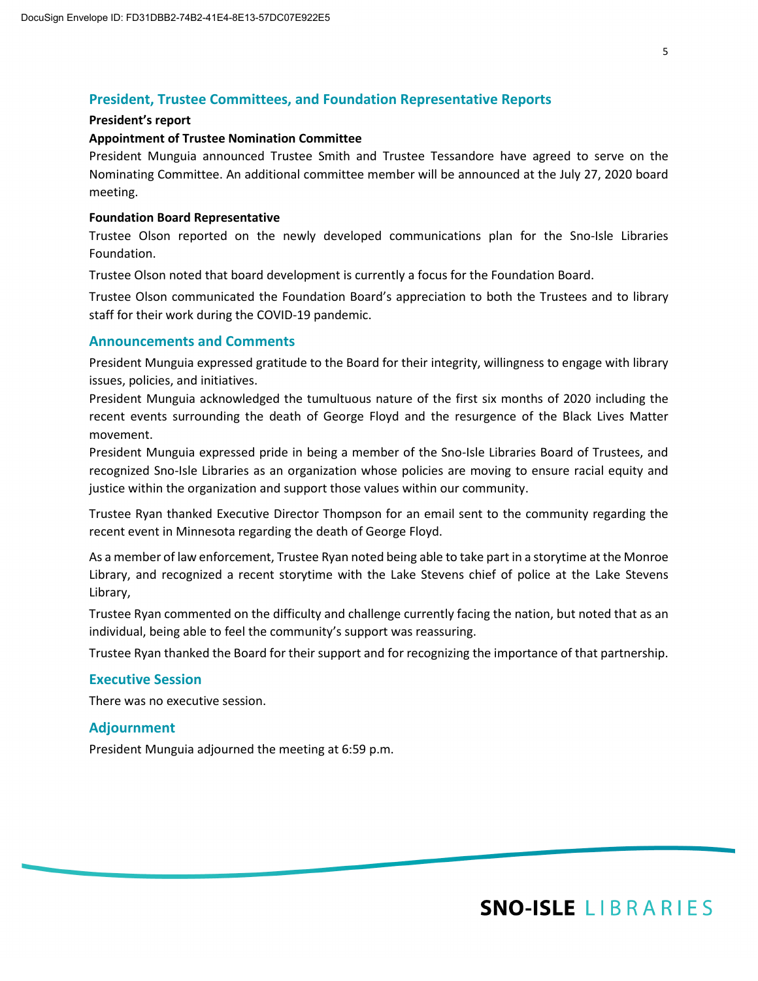# **President, Trustee Committees, and Foundation Representative Reports**

#### **President's report**

#### **Appointment of Trustee Nomination Committee**

President Munguia announced Trustee Smith and Trustee Tessandore have agreed to serve on the Nominating Committee. An additional committee member will be announced at the July 27, 2020 board meeting.

# **Foundation Board Representative**

Trustee Olson reported on the newly developed communications plan for the Sno-Isle Libraries Foundation.

Trustee Olson noted that board development is currently a focus for the Foundation Board.

Trustee Olson communicated the Foundation Board's appreciation to both the Trustees and to library staff for their work during the COVID-19 pandemic.

# **Announcements and Comments**

President Munguia expressed gratitude to the Board for their integrity, willingness to engage with library issues, policies, and initiatives.

President Munguia acknowledged the tumultuous nature of the first six months of 2020 including the recent events surrounding the death of George Floyd and the resurgence of the Black Lives Matter movement.

President Munguia expressed pride in being a member of the Sno-Isle Libraries Board of Trustees, and recognized Sno-Isle Libraries as an organization whose policies are moving to ensure racial equity and justice within the organization and support those values within our community.

Trustee Ryan thanked Executive Director Thompson for an email sent to the community regarding the recent event in Minnesota regarding the death of George Floyd.

As a member of law enforcement, Trustee Ryan noted being able to take part in a storytime at the Monroe Library, and recognized a recent storytime with the Lake Stevens chief of police at the Lake Stevens Library,

Trustee Ryan commented on the difficulty and challenge currently facing the nation, but noted that as an individual, being able to feel the community's support was reassuring.

Trustee Ryan thanked the Board for their support and for recognizing the importance of that partnership.

#### **Executive Session**

There was no executive session.

#### **Adjournment**

President Munguia adjourned the meeting at 6:59 p.m.